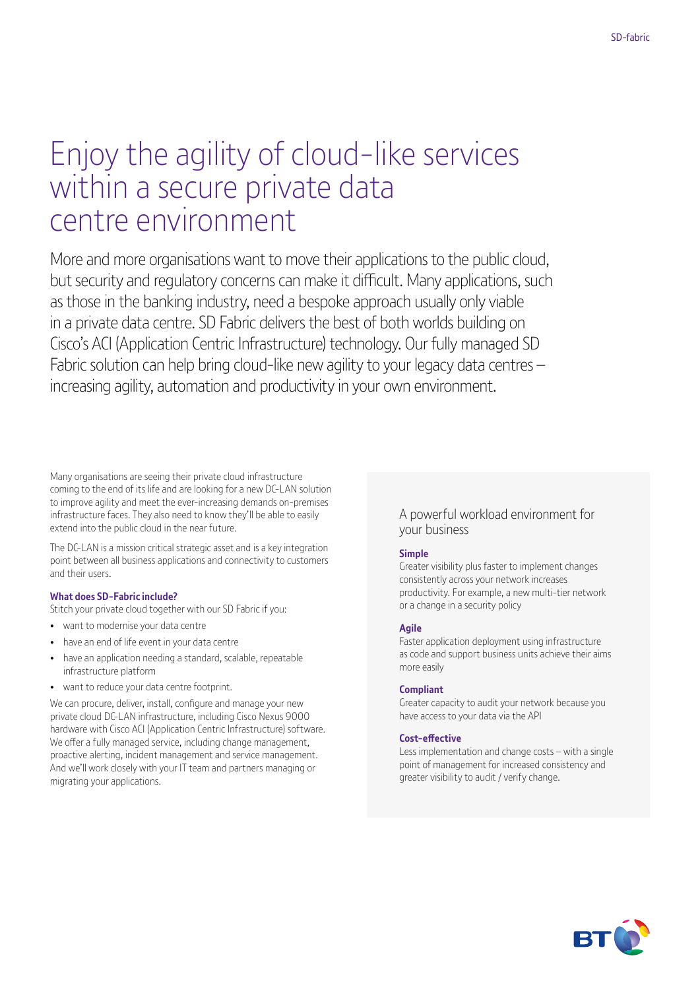# Enjoy the agility of cloud-like services within a secure private data centre environment

More and more organisations want to move their applications to the public cloud, but security and regulatory concerns can make it difficult. Many applications, such as those in the banking industry, need a bespoke approach usually only viable in a private data centre. SD Fabric delivers the best of both worlds building on Cisco's ACI (Application Centric Infrastructure) technology. Our fully managed SD Fabric solution can help bring cloud-like new agility to your legacy data centres – increasing agility, automation and productivity in your own environment.

Many organisations are seeing their private cloud infrastructure coming to the end of its life and are looking for a new DC-LAN solution to improve agility and meet the ever-increasing demands on-premises infrastructure faces. They also need to know they'll be able to easily extend into the public cloud in the near future.

The DC-LAN is a mission critical strategic asset and is a key integration point between all business applications and connectivity to customers and their users.

#### **What does SD-Fabric include?**

Stitch your private cloud together with our SD Fabric if you:

- want to modernise your data centre
- have an end of life event in your data centre
- have an application needing a standard, scalable, repeatable infrastructure platform
- want to reduce your data centre footprint.

We can procure, deliver, install, configure and manage your new private cloud DC-LAN infrastructure, including Cisco Nexus 9000 hardware with Cisco ACI (Application Centric Infrastructure) software. We offer a fully managed service, including change management, proactive alerting, incident management and service management. And we'll work closely with your IT team and partners managing or migrating your applications.

#### A powerful workload environment for your business

#### **Simple**

Greater visibility plus faster to implement changes consistently across your network increases productivity. For example, a new multi-tier network or a change in a security policy

#### **Agile**

Faster application deployment using infrastructure as code and support business units achieve their aims more easily

#### **Compliant**

Greater capacity to audit your network because you have access to your data via the API

#### **Cost-effective**

Less implementation and change costs – with a single point of management for increased consistency and greater visibility to audit / verify change.